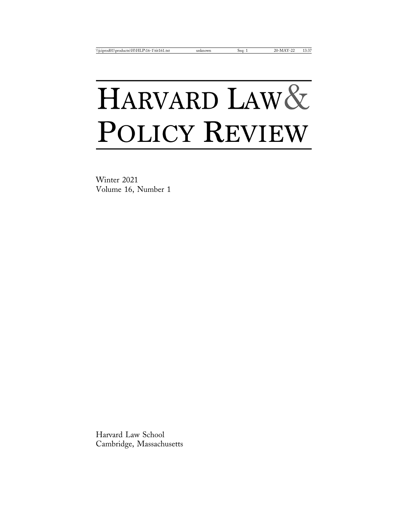# HARVARD LAW& POLICY REVIEW

Winter 2021 Volume 16, Number 1

Harvard Law School Cambridge, Massachusetts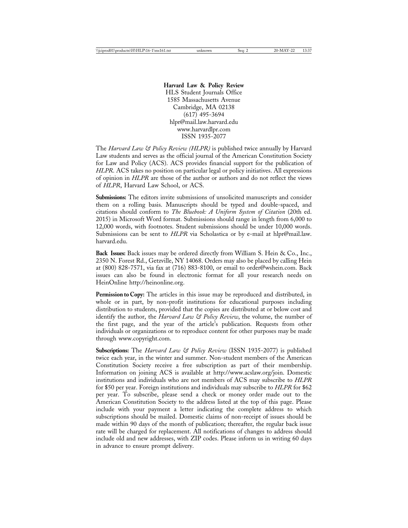**Harvard Law & Policy Review** HLS Student Journals Office 1585 Massachusetts Avenue Cambridge, MA 02138 (617) 495-3694 hlpr@mail.law.harvard.edu www.harvardlpr.com ISSN 1935-2077

The *Harvard Law & Policy Review (HLPR)* is published twice annually by Harvard Law students and serves as the official journal of the American Constitution Society for Law and Policy (ACS). ACS provides financial support for the publication of *HLPR*. ACS takes no position on particular legal or policy initiatives. All expressions of opinion in *HLPR* are those of the author or authors and do not reflect the views of *HLPR*, Harvard Law School, or ACS.

**Submissions:** The editors invite submissions of unsolicited manuscripts and consider them on a rolling basis. Manuscripts should be typed and double-spaced, and citations should conform to *The Bluebook: A Uniform System of Citation* (20th ed. 2015) in Microsoft Word format. Submissions should range in length from 6,000 to 12,000 words, with footnotes. Student submissions should be under 10,000 words. Submissions can be sent to *HLPR* via Scholastica or by e-mail at hlpr@mail.law. harvard.edu.

**Back Issues:** Back issues may be ordered directly from William S. Hein & Co., Inc., 2350 N. Forest Rd., Getzville, NY 14068. Orders may also be placed by calling Hein at (800) 828-7571, via fax at (716) 883-8100, or email to order@wshein.com. Back issues can also be found in electronic format for all your research needs on HeinOnline http://heinonline.org.

**Permission to Copy:** The articles in this issue may be reproduced and distributed, in whole or in part, by non-profit institutions for educational purposes including distribution to students, provided that the copies are distributed at or below cost and identify the author, the *Harvard Law & Policy Review*, the volume, the number of the first page, and the year of the article's publication. Requests from other individuals or organizations or to reproduce content for other purposes may be made through www.copyright.com.

**Subscriptions:** The *Harvard Law & Policy Review* (ISSN 1935-2077) is published twice each year, in the winter and summer. Non-student members of the American Constitution Society receive a free subscription as part of their membership. Information on joining ACS is available at http://www.acslaw.org/join. Domestic institutions and individuals who are not members of ACS may subscribe to *HLPR* for \$50 per year. Foreign institutions and individuals may subscribe to *HLPR* for \$62 per year. To subscribe, please send a check or money order made out to the American Constitution Society to the address listed at the top of this page. Please include with your payment a letter indicating the complete address to which subscriptions should be mailed. Domestic claims of non-receipt of issues should be made within 90 days of the month of publication; thereafter, the regular back issue rate will be charged for replacement. All notifications of changes to address should include old and new addresses, with ZIP codes. Please inform us in writing 60 days in advance to ensure prompt delivery.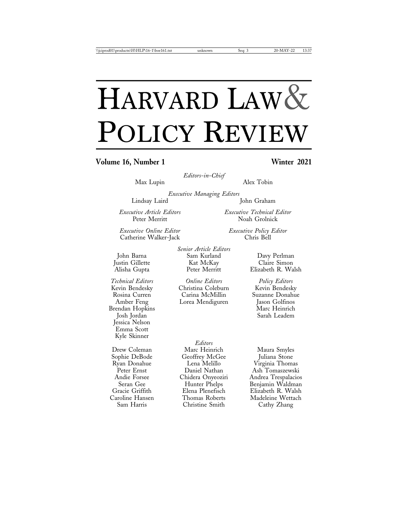## HARVARD LAW& POLICY REVIEW

### Volume 16, Number 1 Winter 2021

*Editors-in-Chief*

Max Lupin Alex Tobin

Noah Grolnick

*Executive Managing Editors* Lindsay Laird John Graham

*Executive Article Editors Executive Technical Editor*

*Executive Online Editor Executive Policy Editor* Catherine Walker-Jack

Brendan Hopkins<br>Josh Jordan Jessica Nelson Emma Scott Kyle Skinner

*Senior Article Editors* John Barna Sam Kurland Davy Perlman Justin Gillette Kat McKay<br>Alisha Gupta Reter Merritt

*Technical Editors Online Editors Policy Editors* Christina Coleburn<br>Carina McMillin Rosina Curren Carina McMillin Suzanne Donahue

*Editors* Drew Coleman Marc Heinrich Maura Smyles Sophie DeBode Geoffrey McGee Juliana Stone Ryan Donahue Lena Melillo Virginia Thomas Christine Smith Cathy Zhang

Elizabeth R. Walsh

Amber Feng Lorea Mendiguren Jason Golfinos Sarah Leadem

Peter Ernst Daniel Nathan Ash Tomaszewski Andie Forsee Chidera Onyeoziri Andrea Trespalacios Seran Gee Hunter Phelps Benjamin Waldman Gracie Griffith Elena Plenefisch Elizabeth R. Walsh Caroline Hansen Thomas Roberts Madeleine Wettach